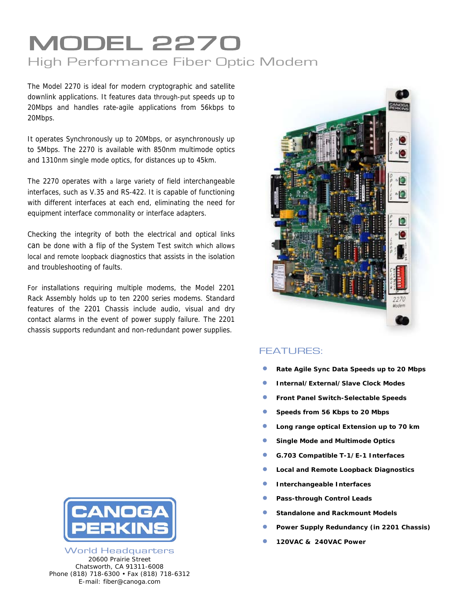# High Performance Fiber Optic Modem

The Model 2270 is ideal for modern cryptographic and satellite downlink applications. It features data through-put speeds up to 20Mbps and handles rate-agile applications from 56kbps to 20Mbps.

It operates Synchronously up to 20Mbps, or asynchronously up to 5Mbps. The 2270 is available with 850nm multimode optics and 1310nm single mode optics, for distances up to 45km.

The 2270 operates with a large variety of field interchangeable interfaces, such as V.35 and RS-422. It is capable of functioning with different interfaces at each end, eliminating the need for equipment interface commonality or interface adapters.

Checking the integrity of both the electrical and optical links can be done with a flip of the System Test switch which allows local and remote loopback diagnostics that assists in the isolation and troubleshooting of faults.

For installations requiring multiple modems, the Model 2201 Rack Assembly holds up to ten 2200 series modems. Standard features of the 2201 Chassis include audio, visual and dry contact alarms in the event of power supply failure. The 2201 chassis supports redundant and non-redundant power supplies.



#### FEATURES:

- **Rate Agile Sync Data Speeds up to 20 Mbps**
- **Internal/External/Slave Clock Modes**
- **Front Panel Switch-Selectable Speeds**
- **Speeds from 56 Kbps to 20 Mbps**
- **Long range optical Extension up to 70 km**
- **Single Mode and Multimode Optics**
- **G.703 Compatible T-1/E-1 Interfaces**
- **Local and Remote Loopback Diagnostics**
- **Interchangeable Interfaces**
- **Pass-through Control Leads**
- **Standalone and Rackmount Models**
- **Power Supply Redundancy (in 2201 Chassis)**
- **120VAC & 240VAC Power**



World Headquarters 20600 Prairie Street Chatsworth, CA 91311-6008 Phone (818) 718-6300 • Fax (818) 718-6312 E-mail: fiber@canoga.com